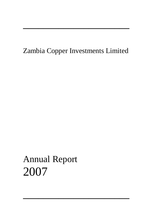# Zambia Copper Investments Limited

─────────────────────

─────────────────────

# Annual Report 2007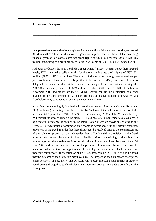## **Chairman's report**

I am pleased to present the Company's audited annual financial statements for the year ended 31 March 2007. These results show a significant improvement on those of the preceding financial year, with a consolidated net profit figure of USD 85.4 million (2006: USD 38.5 million) amounting to a profit per share figure in US cents of 67.67 (2006: US cents 30.47).

**\_\_\_\_\_\_\_\_\_\_\_\_\_\_\_\_\_\_\_\_\_\_\_\_\_\_\_\_\_\_\_\_\_\_\_\_\_\_\_\_\_\_\_\_\_\_\_\_\_\_\_\_\_\_\_\_\_\_\_\_\_\_\_\_\_\_\_\_\_\_\_\_\_\_** 

Although production levels at Konkola Copper Mines ("KCM") remain below their targeted levels, KCM returned excellent results for the year, with a net profit figure of USD 301 million (2006: USD 114 million). The effect of the sustained strong international copper price continues to have an extremely positive influence on KCM's performance. I am also delighted to announce that KCM declared an inaugural interim dividend during the 2006/2007 financial year of USD 5.74 million, of which ZCI received USD 1.6 million in November 2006. Indications are that KCM will shortly confirm the declaration of a final dividend in the same amount and we hope that this is a positive indication of what KCM's shareholders may continue to expect in the new financial year.

Your Board remains highly involved with continuing negotiations with Vedanta Resources Plc ("Vedanta") resulting from the exercise by Vedanta of its call option in terms of the Vedanta Call Option Deed ("the Deed") over the remaining 28.4% of KCM shares held by ZCI through its wholly owned subsidiary, ZCI Holdings S.A. In September 2006, as a result of a material difference of opinion in the interpretation of certain provisions relating to the Deed, ZCI served notice of arbitration on Vedanta in accordance with the dispute resolution provisions in the Deed, in order that these differences be resolved prior to the commencement of the valuation process by the independent bank. Confidentiality provisions in the Deed unfortunately prevent the dissemination of detailed information relating to the arbitration proceedings, but shareholders are informed that the arbitration was heard between 12 and 14 June 2007, and further announcements on the process will be released by ZCI. Steps will be taken to finalise the terms of appointment of the independent investment bank in order that they may commence with valuation of ZCI's 28.4% shareholding in KCM. It should be noted that the outcome of the arbitration may have a material impact on the Company's share price, either positively or negatively. The Directors will closely monitor developments in order to avoid potential prejudice to shareholders and investors arising from undue volatility in the share price.

**\_\_\_\_\_\_\_\_\_\_\_\_\_\_\_\_\_\_\_\_\_\_\_\_\_\_\_\_\_\_\_\_\_\_\_\_\_\_\_\_\_\_\_\_\_\_\_\_\_\_\_\_\_\_\_\_\_\_\_\_\_\_\_\_\_\_\_\_\_\_\_\_\_\_** 

.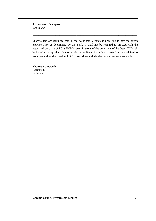## **Chairman's report**

*Continued* 

Shareholders are reminded that in the event that Vedanta is unwilling to pay the option exercise price as determined by the Bank, it shall not be required to proceed with the associated purchase of ZCI's KCM shares. In terms of the provisions of the Deed, ZCI shall be bound to accept the valuation made by the Bank. As before, shareholders are advised to exercise caution when dealing in ZCI's securities until detailed announcements are made.

**\_\_\_\_\_\_\_\_\_\_\_\_\_\_\_\_\_\_\_\_\_\_\_\_\_\_\_\_\_\_\_\_\_\_\_\_\_\_\_\_\_\_\_\_\_\_\_\_\_\_\_\_\_\_\_\_\_\_\_\_\_\_\_\_\_\_\_\_\_\_\_\_\_\_** 

**\_\_\_\_\_\_\_\_\_\_\_\_\_\_\_\_\_\_\_\_\_\_\_\_\_\_\_\_\_\_\_\_\_\_\_\_\_\_\_\_\_\_\_\_\_\_\_\_\_\_\_\_\_\_\_\_\_\_\_\_\_\_\_\_\_\_\_\_\_\_\_\_\_\_** 

**Thomas Kamwendo**  *Chairman,*  Bermuda

.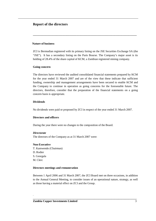## **Report of the directors**

#### **Nature of business**

ZCI is Bermudian registered with its primary listing on the JSE Securities Exchange SA (the "JSE"). It has a secondary listing on the Paris Bourse. The Company's major asset is its holding of 28.4% of the share capital of KCM, a Zambian registered mining company.

**\_\_\_\_\_\_\_\_\_\_\_\_\_\_\_\_\_\_\_\_\_\_\_\_\_\_\_\_\_\_\_\_\_\_\_\_\_\_\_\_\_\_\_\_\_\_\_\_\_\_\_\_\_\_\_\_\_\_\_\_\_\_\_\_\_\_\_\_\_\_\_\_\_\_** 

#### **Going concern**

The directors have reviewed the audited consolidated financial statements prepared by KCM for the year ended 31 March 2007 and are of the view that these indicate that sufficient funding, ownership and management arrangements have been secured to enable KCM and the Company to continue in operation as going concerns for the foreseeable future. The directors, therefore, consider that the preparation of the financial statements on a going concern basis is appropriate.

#### **Dividends**

No dividends were paid or proposed by ZCI in respect of the year ended 31 March 2007*.* 

#### **Directors and officers**

During the year there were no changes to the composition of the Board.

#### *Directorate*

The directors of the Company as at 31 March 2007 were:

#### **Non-Executive**

.

T. Kamwendo (Chairman) D. Rodier S. Georgala M. Clerc

#### **Directors meetings and remuneration**

Between 1 April 2006 and 31 March 2007, the ZCI Board met on three occasions, in addition to the Annual General Meeting, to consider issues of an operational nature, strategy, as well as those having a material effect on ZCI and the Group.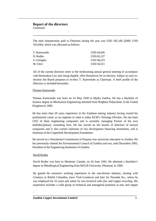## **Report of the directors**

*Continued* 

The total remuneration paid to Directors during the year was USD 182,106 (2006: USD 195,036), which was allocated as follows:

**\_\_\_\_\_\_\_\_\_\_\_\_\_\_\_\_\_\_\_\_\_\_\_\_\_\_\_\_\_\_\_\_\_\_\_\_\_\_\_\_\_\_\_\_\_\_\_\_\_\_\_\_\_\_\_\_\_\_\_\_\_\_\_\_\_\_\_\_\_\_\_\_\_\_** 

| T. Kamwendo | USD 44,445 |
|-------------|------------|
| D. Rodier   | USD 65.127 |
| S. Georgala | USD 38,223 |
| M. Clerc    | USD 34.311 |

All of the current directors retire at the forthcoming annual general meeting in accordance with Bermudian Law and, being eligible, offer themselves for re-election. Subject to such reelection the Board proposes to re-elect T. Kamwendo as Chairman. A brief profile of the Directors is included hereunder:

#### Thomas Kamwendo

Thomas Kamwendo was born on 14 May 1958 in Mpika Zambia. He has a Bachelor of Science degree in Mechanical Engineering obtained from Brighton Polytechnic in the United Kingdom in 1983.

He has more than 20 years experience in the Zambian mining industry having started his professional career as an engineer in what is today KCM's Nchanga Division. He has been CEO of three engineering companies and is currently managing Partner of his own multidisciplinary consulting firm. He has served on the boards of directors of several companies and is also current chairman of two development financing institutions, and is chairman of the Copperbelt Development Foundation.

He served on a Presidential Commission of Enquiry into university education in Zambia. He has previously chaired the Environmental Council of Zambia and was, until December 2005, President of the Engineering Institution of Zambia.

#### David Rodier

.

David Rodier was born in Montreal, Canada, on 26 June 1943. He obtained a Bachelor's degree in Metallurgical Engineering from McGill University, Montreal, in 1966.

He gained his extensive working experience in the non-ferrous industry, starting with Cominco in British Columbia, (now Teck-Cominco) and later for Noranda Inc., where he was employed for 35 years and where he was involved with zinc and copper recycling. His experience includes a wide group of technical and managerial positions in zinc and copper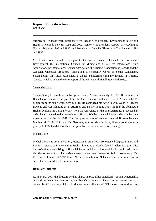#### **Report of the directors**  *Continued*

businesses. His most recent positions were: Senior Vice President, Environment Safety and Health at Noranda between 1998 and 2002; Senior Vice President, Copper & Recycling at Noranda between 1995 and 1997; and President of Canadian Electrolytic Zinc between 1992 and 1995.

**\_\_\_\_\_\_\_\_\_\_\_\_\_\_\_\_\_\_\_\_\_\_\_\_\_\_\_\_\_\_\_\_\_\_\_\_\_\_\_\_\_\_\_\_\_\_\_\_\_\_\_\_\_\_\_\_\_\_\_\_\_\_\_\_\_\_\_\_\_\_\_\_\_\_** 

Mr. Rodier was Noranda's delegate to the World Business Council for Sustainable Development, the International Council for Mining and Metals, the International Zinc Association, the International Copper Association, the Mining Association of Canada and the Canadian Chemical Producers Association. He currently works as Senior Consultant, Sustainability for Hatch Associates, a global engineering company located in Ontario, Canada, which is devoted to the support of the Mining and Metallurgical industries.

#### Steven Georgala

Steven Georgala was born in Nelspruit, South Africa on 26 April 1957. He obtained a Bachelor of Commerce degree from the University of Stellenbosch in 1979 and a LL.B. degree from the same University in 1981. He completed his Articles with Webber Wentzel Bowens and was admitted as an Attorney and Notary in June 1984. In 1984 he obtained a Higher Diploma in Company Law from the University of the Witwatersrand. In December 1984, he was posted to the Luxembourg office of Webber Wentzel Bowens where he became a partner of the firm in 1987. The European offices of Webber Wentzel Bowens became Maitland  $&$  Co in 1993 and Mr. Georgala, now resident in Paris, France continues as a principal of Maitland & Co where he specialises in international tax planning.

#### Michel Clerc

Michel Clerc was born in Vernon, France on 27 June 1921. He obtained degrees in Law and Political Science in France and in English literature at Cambridge. Mr. Clerc is a journalist by profession, specializing in financial issues and has had several books published. He is also the former editor of Paris-Match magazine and was manager of Radio Luxembourg. Mr. Clerc was a founder of AMZCI in 1999, an association of ZCI shareholders in France and is currently the president of this association.

#### **Directors' interests**

.

At 31 March 2007 the directors held no shares in ZCI, either beneficially or non-beneficially, and did not have any direct or indirect beneficial interests. There are no service contracts granted by ZCI, nor any of its subsidiaries, to any director of ZCI for services as directors,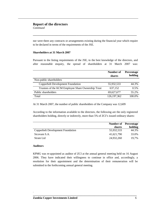### **Report of the directors**

*Continued* 

nor were there any contracts or arrangements existing during the financial year which require to be declared in terms of the requirements of the JSE.

**\_\_\_\_\_\_\_\_\_\_\_\_\_\_\_\_\_\_\_\_\_\_\_\_\_\_\_\_\_\_\_\_\_\_\_\_\_\_\_\_\_\_\_\_\_\_\_\_\_\_\_\_\_\_\_\_\_\_\_\_\_\_\_\_\_\_\_\_\_\_\_\_\_\_** 

#### **Shareholders at 31 March 2007**

Pursuant to the listing requirements of the JSE, to the best knowledge of the directors, and after reasonable enquiry, the spread of shareholders at 31 March 2007 was:

|                                                    | Number of     | Percentage |
|----------------------------------------------------|---------------|------------|
|                                                    | shares        | holding    |
| Non-public shareholders                            |               |            |
| <b>Copperbelt Development Foundation</b>           | 55,932,533    | 44.3%      |
| Trustees of the KCM Employee Share Ownership Trust | 637,152       | 0.5%       |
| Public shareholders                                | 69,627,677    | 55.2%      |
| Total                                              | 126, 197, 362 | 100.0%     |

At 31 March 2007, the number of public shareholders of the Company was 12,609

According to the information available to the directors, the following are the only registered shareholders holding, directly or indirectly, more than 5% of ZCI's issued ordinary shares:

|                                   |            | <b>Number of</b> Percentage |
|-----------------------------------|------------|-----------------------------|
|                                   | shares     | holding                     |
| Copperbelt Development Foundation | 55,932,533 | 44.3%                       |
| Sicovam S.A.                      | 41,621,790 | 33.0%                       |
| <b>Strate Ltd</b>                 | 24,932,260 | 19.7%                       |

#### **Auditors**

.

KPMG was re-appointed as auditor of ZCI at the annual general meeting held on 16 August 2006. They have indicated their willingness to continue in office and, accordingly, a resolution for their appointment and the determination of their remuneration will be submitted to the forthcoming annual general meeting.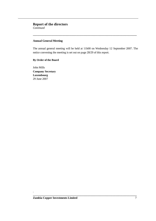## **Report of the directors**

*Continued* 

#### **Annual General Meeting**

The annual general meeting will be held at 11h00 on Wednesday 12 September 2007. The notice convening the meeting is set out on page 28/29 of this report.

**\_\_\_\_\_\_\_\_\_\_\_\_\_\_\_\_\_\_\_\_\_\_\_\_\_\_\_\_\_\_\_\_\_\_\_\_\_\_\_\_\_\_\_\_\_\_\_\_\_\_\_\_\_\_\_\_\_\_\_\_\_\_\_\_\_\_\_\_\_\_\_\_\_\_** 

**\_\_\_\_\_\_\_\_\_\_\_\_\_\_\_\_\_\_\_\_\_\_\_\_\_\_\_\_\_\_\_\_\_\_\_\_\_\_\_\_\_\_\_\_\_\_\_\_\_\_\_\_\_\_\_\_\_\_\_\_\_\_\_\_\_\_\_\_\_\_\_\_\_\_** 

#### **By Order of the Board**

John Mills **Company Secretary Luxembourg**  29 June 2007

.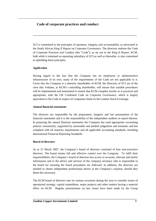ZCI is committed to the principles of openness, integrity and accountability as advocated in the South African King II Report on Corporate Governance. The directors endorse the Code of Corporate Practices and Conduct (the "Code"), as set out in the King II Report. KCM, both while it remained an operating subsidiary of ZCI as well as thereafter, is also committed to upholding these principles.

**\_\_\_\_\_\_\_\_\_\_\_\_\_\_\_\_\_\_\_\_\_\_\_\_\_\_\_\_\_\_\_\_\_\_\_\_\_\_\_\_\_\_\_\_\_\_\_\_\_\_\_\_\_\_\_\_\_\_\_\_\_\_\_\_\_\_\_\_\_\_\_\_\_\_** 

#### **Application**

Having regard to the fact that the Company has no employees or administrative infrastructure of its own, many of the requirements of the Code are not applicable to it. Given that the Company is a minority shareholder of KCM, the Directors of ZCI are of the view that Vedanta, as KCM's controlling shareholder, will ensure that suitable procedures will be implemented and maintained to ensure that KCM complies insofar as is practical and appropriate, with the UK Combined Code on Corporate Governance, which is largely equivalent to the Code in respect of companies listed on the London Stock Exchange.

#### **Annual financial statements**

The directors are responsible for the preparation, integrity and fair presentation of the financial statements and it is the responsibility of the independent auditors to report thereon. In preparing the annual financial statements the Company has used appropriate accounting policies consistently, supported by reasonable and prudent judgement and estimates and has complied with all statutory requirements and all applicable accounting standards, including International Financial Reporting Standards.

#### **Board of directors**

.

As at 31 March 2007, the Company's board of directors consisted of four non-executive directors. The board retains full and effective control over the Company. To fulfil their responsibilities, the Company's board of directors has access to accurate, relevant and timely information and to the advice and services of the company secretary who is responsible to the board for ensuring the board procedures are followed. In addition, the directors are entitled to obtain independent professional advice at the Company's expense, should they deem this necessary.

The KCM board of directors met on various occasions during the year to consider issues of operational strategy, capital expenditure, major projects and other matters having a material effect on KCM. Regular presentations on key issues have been made by the Group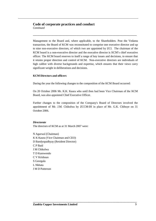*Continued* 

Management to the Board and, where applicable, to the Shareholders. Post the Vedanta transaction, the Board of KCM was reconstituted to comprise one executive director and up to nine non-executive directors, of which two are appointed by ZCI. The chairman of the KCM board is a non-executive director and the executive director is KCM's chief executive officer. The KCM board reserves to itself a range of key issues and decisions, to ensure that it retains proper direction and control of KCM. Non-executive directors are individuals of high calibre with diverse backgrounds and expertise, which ensures that their views carry significant weight in deliberations and decisions.

**\_\_\_\_\_\_\_\_\_\_\_\_\_\_\_\_\_\_\_\_\_\_\_\_\_\_\_\_\_\_\_\_\_\_\_\_\_\_\_\_\_\_\_\_\_\_\_\_\_\_\_\_\_\_\_\_\_\_\_\_\_\_\_\_\_\_\_\_\_\_\_\_\_\_** 

#### **KCM Directors and officers**

During the year the following changes to the composition of the KCM Board occurred:

On 20 October 2006 Mr. K.K. Kaura who until then had been Vice Chairman of the KCM Board, was also appointed Chief Executive Officer.

Further changes to the composition of the Company's Board of Directors involved the appointment of Mr. J.M. Chikolwa by ZCCM-IH in place of Mr. G.K. Chibuye on 31 October 2006.

**\_\_\_\_\_\_\_\_\_\_\_\_\_\_\_\_\_\_\_\_\_\_\_\_\_\_\_\_\_\_\_\_\_\_\_\_\_\_\_\_\_\_\_\_\_\_\_\_\_\_\_\_\_\_\_\_\_\_\_\_\_\_\_\_\_\_\_\_\_\_\_\_\_\_** 

#### *Directorate*

The directors of KCM as at 31 March 2007 were:

N Agarwal (Chairman) K K Kaura (Vice Chairman and CEO) D Bandyopadhyay (Resident Director) C P Baid J M Chikolwa T D Kamwendo C V Krishnan S Georgala L Nkhata J M D Patterson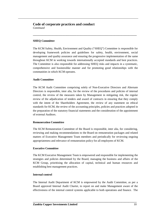*Continued* 

#### **SHEQ Committee**

The KCM Safety, Health, Environment and Quality ("SHEQ") Committee is responsible for developing framework policies and guidelines for safety, health, environment, social management and quality assurance and ensuring the progressive implementation of the same throughout KCM in working towards internationally accepted standards and best practices. The Committee is also responsible for addressing SHEQ risks and impacts in a systematic, comprehensive and businesslike manner and for promoting good relationships with the communities in which KCM operates.

**\_\_\_\_\_\_\_\_\_\_\_\_\_\_\_\_\_\_\_\_\_\_\_\_\_\_\_\_\_\_\_\_\_\_\_\_\_\_\_\_\_\_\_\_\_\_\_\_\_\_\_\_\_\_\_\_\_\_\_\_\_\_\_\_\_\_\_\_\_\_\_\_\_\_** 

#### **Audit Committee**

The KCM Audit Committee comprising solely of Non-Executive Directors and Alternate Directors is responsible, inter alia, for the review of the procedures and policies of internal control, the review of the measures taken by Management in mitigating risk, the regular review of the adjudication of tenders and award of contracts in ensuring that they comply with the intent of the Shareholders Agreement, the review of any statement on ethical standards for KCM, the review of the accounting principles, policies and practices adopted in the preparation of the statutory financial statements and the consideration of the appointment of external Auditors.

#### **Remuneration Committee**

The KCM Remuneration Committee of the Board is responsible, inter alia, for considering, reviewing and making recommendations to the Board on remuneration packages and related matters of Executive Management Team members and periodically for reviewing ongoing appropriateness and relevance of remuneration policy for all employees of KCM.

#### **Executive Committee**

The KCM Executive Management Team is empowered and responsible for implementing the strategies and policies determined by the Board, managing the business and affairs of the KCM Group, prioritising the allocation of capital, technical and human resources and establishing best management practices.

### **Internal control**

The Internal Audit Department of KCM is empowered by the Audit Committee, as per a Board approved Internal Audit Charter, to report on and make Management aware of the effectiveness of the internal control systems applicable to both operations and finance. The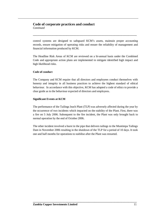*Continued* 

control systems are designed to safeguard KCM's assets, maintain proper accounting records, ensure mitigation of operating risks and ensure the reliability of management and financial information produced by KCM.

**\_\_\_\_\_\_\_\_\_\_\_\_\_\_\_\_\_\_\_\_\_\_\_\_\_\_\_\_\_\_\_\_\_\_\_\_\_\_\_\_\_\_\_\_\_\_\_\_\_\_\_\_\_\_\_\_\_\_\_\_\_\_\_\_\_\_\_\_\_\_\_\_\_\_** 

The Headline Risk Areas of KCM are reviewed on a bi-annual basis under the Combined Code and appropriate action plans are implemented to mitigate identified high impact and high likelihood risks.

#### **Code of conduct**

The Company and KCM require that all directors and employees conduct themselves with honesty and integrity in all business practices to achieve the highest standard of ethical behaviour. In accordance with this objective, KCM has adopted a code of ethics to provide a clear guide as to the behaviour expected of directors and employees.

#### **Significant Events at KCM**

The performance of the Tailings leach Plant (TLP) was adversely affected during the year by the occurrence of two incidents which impacted on the stability of the Plant. First, there was a fire on 5 July 2006. Subsequent to the fire incident, the Plant was only brought back to normal operation by the end of October 2006.

The other incident involved a burst in the pipe that delivers tailings to the Muntimpa Tailings Dam in November 2006 resulting in the shutdown of the TLP for a period of 10 days. It took one and half months for operations to stabilise after the Plant was restarted.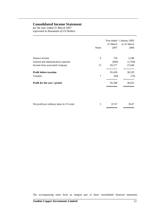## **Consolidated Income Statement**

*for the year ended 31 March 2007 expressed in thousands of US Dollars* 

|                                     | <b>Notes</b> | 31 March<br>2007 | Year ended 1 January 2005<br>to 31 March<br>2006 |
|-------------------------------------|--------------|------------------|--------------------------------------------------|
| Finance income                      | 6            | 730              | 2,248                                            |
| General and administration expenses |              | (849)            | (1,359)                                          |
| Income from associated company      | 13           | 85,577           | 37,640                                           |
| <b>Profit before taxation</b>       |              | 85,458           | 38,529                                           |
| Taxation                            | 7            | (60)             | (76)                                             |
| Profit for the year / period        |              | 85,398           | 38,453                                           |
|                                     |              |                  |                                                  |

**\_\_\_\_\_\_\_\_\_\_\_\_\_\_\_\_\_\_\_\_\_\_\_\_\_\_\_\_\_\_\_\_\_\_\_\_\_\_\_\_\_\_\_\_\_\_\_\_\_\_\_\_\_\_\_\_\_\_\_\_\_\_\_\_\_\_\_\_\_\_\_\_\_\_** 

| Net profit per ordinary share in US cents | 5 67.67 | 30.47 |
|-------------------------------------------|---------|-------|
|                                           |         |       |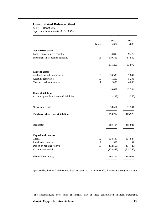## **Consolidated Balance Sheet**

*as at 31 March 2007 expressed in thousands of US Dollars* 

|                                              | <b>Notes</b> | 31 March<br>2007 | 31 March<br>2006 |
|----------------------------------------------|--------------|------------------|------------------|
| <b>Non-current assets</b>                    |              |                  |                  |
| Long term accounts receivable                | 8            | 4,890            | 9,477            |
| Investment in associated company             | 13           | 170,313          | 84,502           |
|                                              |              | 175,203          | 93,979           |
| <b>Current assets</b>                        |              |                  |                  |
| Available for sale investment                | 9            | 10,593           | 2,842            |
| Accounts receivable                          | 10           | 5,250            | 5,296            |
| Cash and cash equivalents                    | 11           | 2,856            | 4,066            |
|                                              |              | 18,699           | 12,204           |
| <b>Current liabilities</b>                   |              |                  |                  |
| Accounts payable and accrued liabilities     |              | (188)            | (260)            |
| Net current assets                           |              | 18,511           | 11,944           |
| <b>Total assets less current liabilities</b> |              | 193,714          | 105,923          |
|                                              |              |                  |                  |
| <b>Net assets</b>                            |              | 193,714          | 105,923          |
|                                              |              |                  |                  |
| <b>Capital and reserves</b><br>Capital       | 12           | 334,547          | 334,547          |
| Revaluation reserve                          | 9            | 573              | 42               |
| Deficit on hedging reserve                   | 13           | (12, 558)        | (14, 420)        |
| Accumulated deficit                          |              | (128, 848)       | (214, 246)       |
| Shareholders' equity                         |              | 193,714          | 105,923          |
|                                              |              |                  |                  |

**\_\_\_\_\_\_\_\_\_\_\_\_\_\_\_\_\_\_\_\_\_\_\_\_\_\_\_\_\_\_\_\_\_\_\_\_\_\_\_\_\_\_\_\_\_\_\_\_\_\_\_\_\_\_\_\_\_\_\_\_\_\_\_\_\_\_\_\_\_\_\_\_\_\_** 

Approved by the board of directors, dated 29 June 2007: T. Kamwendo, director, S. Georgala, director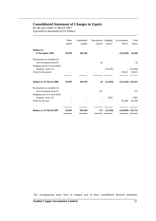### **Consolidated Statement of Changes in Equity**

*for the year ended 31 March 2007 expressed in thousands of US Dollars* 

|                                                                                           | Share<br>capital | Contributed<br>surplus | Revaluation Hedging<br>reserve | reserve   | Accumulated<br>deficit | Total<br>equity     |
|-------------------------------------------------------------------------------------------|------------------|------------------------|--------------------------------|-----------|------------------------|---------------------|
| <b>Balance at</b><br>31 December 2004                                                     | 30,299           | 304,248                |                                |           | (252,699)              | 81,848              |
| Revaluation on available for<br>sale investment (note 9)<br>Hedging reserve of associated |                  |                        | 42                             |           |                        | 42                  |
| company (note 13)<br>Profit for the period                                                |                  |                        |                                | (14, 420) | 38,453                 | (14, 420)<br>38,453 |
|                                                                                           |                  |                        |                                |           |                        |                     |
| <b>Balance at 31 March 2006</b>                                                           | 30,299           | 304,248                | 42                             | (14, 420) | $(214,246)$ 105,923    |                     |
| Revaluation on available for<br>sale investment (note 9)<br>Hedging reserve of associated |                  |                        | 531                            |           |                        | 531                 |
| company (note 13)                                                                         |                  |                        |                                | 1,862     |                        | 1,862               |
| Profit for the year                                                                       |                  |                        |                                |           | 85,398                 | 85,398              |
| Balance at 31 March 2007                                                                  | 30,299           | 304,248                | 573                            | (12,558)  | $(128,848)$ 193,714    |                     |

**\_\_\_\_\_\_\_\_\_\_\_\_\_\_\_\_\_\_\_\_\_\_\_\_\_\_\_\_\_\_\_\_\_\_\_\_\_\_\_\_\_\_\_\_\_\_\_\_\_\_\_\_\_\_\_\_\_\_\_\_\_\_\_\_\_\_\_\_\_\_\_\_\_\_**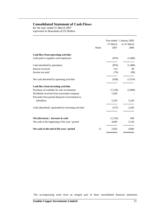## **Consolidated Statement of Cash Flows**

*for the year ended 31 March 2007 expressed in thousands of US Dollars* 

| <b>Notes</b>                                        | 31 March<br>2007 | Year ended 1 January 2005<br>to 31 March<br>2006 |
|-----------------------------------------------------|------------------|--------------------------------------------------|
| <b>Cash flow from operating activities</b>          |                  |                                                  |
| Cash paid to suppliers and employees                | (876)            | (1,480)                                          |
| Cash absorbed by operations                         | (876)            | (1,480)                                          |
| Interest received                                   | 114              | 96                                               |
| Income tax paid                                     | (76)             | (90)                                             |
| Net cash absorbed by operating activities           | (838)            | (1,474)                                          |
| <b>Cash flow from investing activities</b>          |                  |                                                  |
| Purchase of available for sale investments          | (7,220)          | (2,800)                                          |
| Dividends received from associated company          | 1,628            |                                                  |
| Proceeds from partial disposal of investment in     |                  |                                                  |
| subsidiary                                          | 5,220            | 5,220                                            |
| Cash (absorbed) / generated by investing activities | (372)            | 2,420                                            |
| Net (decrease) / increase in cash                   | (1,210)          | 946                                              |
| Net cash at the beginning of the year / period      | 4,066            | 3,120                                            |
| 11<br>Net cash at the end of the year / period      | 2,856            | 4,066                                            |

**\_\_\_\_\_\_\_\_\_\_\_\_\_\_\_\_\_\_\_\_\_\_\_\_\_\_\_\_\_\_\_\_\_\_\_\_\_\_\_\_\_\_\_\_\_\_\_\_\_\_\_\_\_\_\_\_\_\_\_\_\_\_\_\_\_\_\_\_\_\_\_\_\_\_**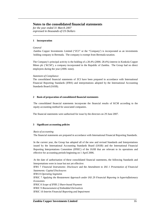*for the year ended 31 March 2007 expressed in thousands of US Dollars* 

#### **1 Incorporation**

#### *General*

Zambia Copper Investments Limited ("ZCI" or the "Company') is incorporated as an investments holding company in Bermuda. The company is exempt from Bermuda taxation.

**\_\_\_\_\_\_\_\_\_\_\_\_\_\_\_\_\_\_\_\_\_\_\_\_\_\_\_\_\_\_\_\_\_\_\_\_\_\_\_\_\_\_\_\_\_\_\_\_\_\_\_\_\_\_\_\_\_\_\_\_\_\_\_\_\_\_\_\_\_\_\_\_\_\_** 

The Company's principal activity is the holding of a 28.4% (2006: 28.4%) interest in Konkola Copper Mines plc ('KCM'), a company incorporated in the Republic of Zambia. The Group had no direct employees during the year (2006: none).

#### *Statement of Compliance*

The consolidated financial statements of ZCI have been prepared in accordance with International Financial Reporting Standards (IFRS) and interpretations adopted by the International Accounting Standards Board (IASB).

#### **2 Basis of preparation of consolidated financial statements**

The consolidated financial statements incorporate the financial results of KCM according to the equity accounting method for associated companies.

The financial statements were authorised for issue by the directors on 29 June 2007.

#### **3 Significant accounting policies**

#### *Basis of accounting*

The financial statements are prepared in accordance with International Financial Reporting Standards.

In the current year, the Group has adopted all of the new and revised Standards and Interpretations issued by the International Accounting Standards Board (IASB) and the International Financial Reporting Interpretations Committee (IFRIC) of the IASB that are relevant to its operations and effective for accounting periods beginning on 1 April 2006.

At the date of authorisation of these consolidated financial statements, the following Standards and Interpretations were in issue but not yet effective:

IFRS 7 *Financial Instruments: Disclosure* and the *Amendment to IAS 1 Presentation of Financial Statements: Capital Disclosures* 

IFRS 8 *Operating Segments* 

IFRIC 7 *Applying the Restatement Approach under IAS 29 Financial Reportng in hyperinflationary Economies* 

**\_\_\_\_\_\_\_\_\_\_\_\_\_\_\_\_\_\_\_\_\_\_\_\_\_\_\_\_\_\_\_\_\_\_\_\_\_\_\_\_\_\_\_\_\_\_\_\_\_\_\_\_\_\_\_\_\_\_\_\_\_\_\_\_\_\_\_\_\_\_\_\_\_\_** 

IFRIC 8 *Scope of IFRS 2 Share-based Payment*

IFRIC 9 *Reassessment of Embedded Derivatives*

IFRIC 10 *Interim Financial Reporting and Impairment*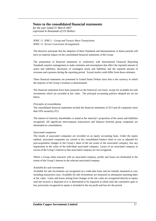*for the year ended 31 March 2007 expressed in thousands of US Dollars* 

IFRIC 11 *IFRS 2 – Group and Trasury Share Transactions* IFRIC 12 *Service Concession Arrangements*

The directors anticipate that the adoption of these Standards and Interpretations in future periods will have no material impact on the consolidated financial statements of the Group.

**\_\_\_\_\_\_\_\_\_\_\_\_\_\_\_\_\_\_\_\_\_\_\_\_\_\_\_\_\_\_\_\_\_\_\_\_\_\_\_\_\_\_\_\_\_\_\_\_\_\_\_\_\_\_\_\_\_\_\_\_\_\_\_\_\_\_\_\_\_\_\_\_\_\_** 

The preparation of financial statements in conformity with International Financial Reporting Standards requires management to make estimates and assumptions that affect the reported amount of assets and liabilities, disclosure of contingent assets and liabilities and the reported amount of revenues and expenses during the reporting period. Actual results could differ from those estimates.

These financial statements are presented in United States Dollars since that is the currency in which the majority of the Group's business is denominated.

The financial statements have been prepared on the historical cost basis, except for available-for-sale investments which are recorded at fair value. The principal accounting policies adopted are set out below.

#### *Principles of consolidation*

The consolidated financial statements include the financial statements of ZCI and all companies more than 50% owned by ZCI.

The interest of minority shareholders is stated at the minority's proportion of the assets and liabilities recognised. All significant intercompany transactions and balances between group companies are eliminated on consolidation.

#### *Associated companies*

The results of associated companies are recorded on an equity accounting basis. Under the equity method, associated companies are carried in the consolidated balance sheet at cost as adjusted for post-acquisition changes in the Group's share of the net assets of the associated company, less any impairment to the value of the individual associated company. Losses of an associated company in excess of the Group's interest in that associated company are not recognised.

Where a Group entity transacts with an associated company, profits and losses are eliminated to the extent of the Group's interest in the relevant associated company.

#### *Available for sale investments*

Available for sale investments are recognised on a trade-date basis and are initially measured at cost, including transaction costs. Available for sale investments are measured at subsequent reporting dates at fair value. Gains and losses arising from changes in the fair value are recognised directly in equity until the security is disposed of or is determined to be impaired at which time the cumulative gain or loss previously recognised in equity is included in the net profit and loss for the period.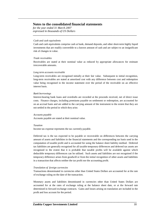*for the year ended 31 March 2007 expressed in thousands of US Dollars* 

#### *Cash and cash equivalents*

Cash and cash equivalents comprise cash at bank, demand deposits, and other short-term highly liquid investments that are readily convertible to a known amount of cash and are subject to an insignificant risk of changes in value.

**\_\_\_\_\_\_\_\_\_\_\_\_\_\_\_\_\_\_\_\_\_\_\_\_\_\_\_\_\_\_\_\_\_\_\_\_\_\_\_\_\_\_\_\_\_\_\_\_\_\_\_\_\_\_\_\_\_\_\_\_\_\_\_\_\_\_\_\_\_\_\_\_\_\_** 

#### *Trade receivables*

Receivables are stated at their nominal value as reduced by appropriate allowances for estimate irrecoverable amounts.

#### *Long term accounts receivable*

Long-term receivables are recognised initially at their fair value. Subsequent to initial recognition, long-term receivables are stated at amortised cost with any difference between cost and redemption value being recognised in the income statement over the period of the receivable on an effective interest basis.

#### *Bank borrowings*

Interest-bearing bank loans and overdrafts are recorded at the proceeds received, net of direct issue costs. Finance charges, including premiums payable on settlement or redemption, are accounted for on an accrual basis and are added to the carrying amount of the instrument to the extent that they are not settled in the period in which they arise.

#### *Accounts payable*

Accounts payable are stated at their nominal value.

#### *Taxation*

Income tax expense represents the tax currently payable.

Deferred tax is the tax expected to be payable or recoverable on differences between the carrying amount of assets and liabilities in the financial statements and the corresponding tax basis used in the computation of taxable profit and is accounted for using the balance sheet liability method. Deferred tax liabilities are generally recognised for all taxable temporary differences and deferred tax assets are recognised to the extent that it is probable that taxable profits will be available against which deductible temporary differences can be utilised. Such assets and liabilities are not recognised if the temporary difference arises from goodwill or from the initial recognition of other assets and liabilities in a transaction that affects neither the tax profit nor the accounting profit.

#### *Translation of foreign currencies*

Transactions denominated in currencies other than United States Dollars are accounted for at the rate of exchange ruling on the date of the transaction.

Monetary assets and liabilities denominated in currencies other than United States Dollars are accounted for at the rates of exchange ruling at the balance sheet date, or at the forward rate determined in forward exchange contracts. Gains and losses arising on translation are included in the profit and loss account for the period.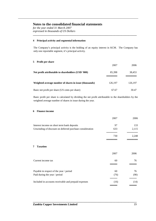*for the year ended 31 March 2007 expressed in thousands of US Dollars* 

#### **4 Principal activity and segmental information**

The Company's principal activity is the holding of an equity interest in KCM. The Company has only one reportable segment, it's principal activity.

**\_\_\_\_\_\_\_\_\_\_\_\_\_\_\_\_\_\_\_\_\_\_\_\_\_\_\_\_\_\_\_\_\_\_\_\_\_\_\_\_\_\_\_\_\_\_\_\_\_\_\_\_\_\_\_\_\_\_\_\_\_\_\_\_\_\_\_\_\_\_\_\_\_\_** 

#### **5 Profit per share**

|                                                        | 2007    | 2006    |
|--------------------------------------------------------|---------|---------|
| Net profit attributable to shareholders (USD '000)     | 85,398  | 38,453  |
| Weighted average number of shares in issue (thousands) | 126,197 | 126,197 |
| Basic net profit per share (US cents per share)        | 67.67   | 30.47   |

Basic profit per share is calculated by dividing the net profit attributable to the shareholders by the weighted average number of shares in issue during the year.

#### **6 Finance income**

|                                                          | 2007 | 2006  |
|----------------------------------------------------------|------|-------|
| Interest income on short term bank deposits              | 97   | 133   |
| Unwinding of discount on deferred purchase consideration | 633  | 2.115 |
|                                                          | 730  | 2.248 |

#### **7 Taxation**

|                                                      | 2007 | 2006 |
|------------------------------------------------------|------|------|
| Current income tax                                   | 60   | 76   |
| Payable in respect of the year / period              | 60   | 76   |
| Paid during the year / period                        | (76) | (90) |
| Included in accounts receivable and prepaid expenses | (16) | (14) |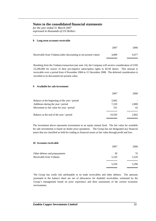*for the year ended 31 March 2007 expressed in thousands of US Dollars* 

## **8 Long term accounts receivable**  2007 2006 Receivable from Vedanta (after discounting to net present value) 4,890 9,477 ══════ ══════

**\_\_\_\_\_\_\_\_\_\_\_\_\_\_\_\_\_\_\_\_\_\_\_\_\_\_\_\_\_\_\_\_\_\_\_\_\_\_\_\_\_\_\_\_\_\_\_\_\_\_\_\_\_\_\_\_\_\_\_\_\_\_\_\_\_\_\_\_\_\_\_\_\_\_** 

Resulting from the Vedanta transaction (see note 14), the Company will receive consideration of USD 23,200,000 for waiver of their pre-emptive subscription rights to KCM shares. This amount is receivable over a period from 4 November 2004 to 31 December 2008. The deferred consideration is recorded at its discounted net present value.

#### **9 Available for sale investment**

|                                               | 2007   | 2006  |
|-----------------------------------------------|--------|-------|
| Balance at the beginning of the year / period | 2,842  |       |
| Additions during the year / period            | 7,220  | 2,800 |
| Movement in fair value for year / period      | 531    | 42    |
|                                               |        |       |
| Balance at the end of the year / period       | 10.593 | 2.842 |
|                                               |        |       |

The investment above represents investments in an equity mutual fund. The fair value for available for sale investments is based on dealer price quotations. The Group has not designated any financial assets that are classified as held for trading as financial assets at fair value through profit and loss.

#### **10 Accounts receivable**

|                               | 2007  | 2006  |
|-------------------------------|-------|-------|
| Other debtors and prepayments | 30    | 76    |
| Receivable from Vedanta       | 5,220 | 5,220 |
|                               | 5,250 | 5,296 |
|                               |       |       |

The Group has credit risk attributable to its trade receivables and other debtors. The amounts presented in the balance sheet are net of allowances for doubtful receivables, estimated by the Group's management based on prior experience and their assessment of the current economic environment.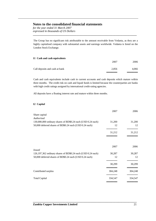*for the year ended 31 March 2007 expressed in thousands of US Dollars* 

The Group has no significant risk attributable to the amount receivable from Vedanta, as they are a highly capitalised company with substantial assets and earnings worldwide. Vedanta is listed on the London Stock Exchange.

**\_\_\_\_\_\_\_\_\_\_\_\_\_\_\_\_\_\_\_\_\_\_\_\_\_\_\_\_\_\_\_\_\_\_\_\_\_\_\_\_\_\_\_\_\_\_\_\_\_\_\_\_\_\_\_\_\_\_\_\_\_\_\_\_\_\_\_\_\_\_\_\_\_\_** 

#### **11 Cash and cash equivalents**

|                                | 2007  | 2006  |
|--------------------------------|-------|-------|
| Call deposits and cash at bank | 2,856 | 4,066 |
|                                |       |       |

Cash and cash equivalents include cash in current accounts and cash deposits which mature within three months. The credit risk on cash and liquid funds is limited because the counterparties are banks with high credit ratings assigned by international credit-rating agencies.

All deposits have a floating interest rate and mature within three months.

#### **12 Capital**

|                                                              | 2007    | 2006    |
|--------------------------------------------------------------|---------|---------|
| Share capital                                                |         |         |
| Authorised                                                   |         |         |
| 130,000,000 ordinary shares of BD\$0.24 each (USD 0.24 each) | 31,200  | 31,200  |
| 50,000 deferred shares of BD\$0.24 each (USD 0.24 each)      | 12      | 12      |
|                                                              | 31,212  | 31,212  |
|                                                              |         |         |
|                                                              | 2007    | 2006    |
| <i>Issued</i>                                                |         |         |
| 126,197,362 ordinary shares of BD\$0.24 each (USD 0.24 each) | 30,287  | 30,287  |
| 50,000 deferred shares of BD\$0.24 each (USD 0.24 each)      | 12      | 12      |
|                                                              | 30,299  | 30,299  |
| Contributed surplus                                          | 304,248 | 304,248 |
| <b>Total Capital</b>                                         | 334,547 | 334,547 |
|                                                              |         |         |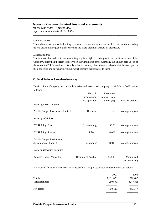*for the year ended 31 March 2007 expressed in thousands of US Dollars* 

#### *Ordinary shares*

The ordinary shares have full voting rights and rights to dividends, and will be entitled on a winding up to a distribution equal to their par value and share premium created on their issue.

**\_\_\_\_\_\_\_\_\_\_\_\_\_\_\_\_\_\_\_\_\_\_\_\_\_\_\_\_\_\_\_\_\_\_\_\_\_\_\_\_\_\_\_\_\_\_\_\_\_\_\_\_\_\_\_\_\_\_\_\_\_\_\_\_\_\_\_\_\_\_\_\_\_\_** 

#### *Deferred shares*

The deferred shares do not have any voting rights or right to participate in the profits or assets of the Company, other than the right to receive on the winding up of the Company the amount paid up, up to the amount of 24 Bermudian cents only, after all ordinary shares have received a distribution equal to their par value and any share premium which remains distributable to them.

#### **13 Subsidiaries and associated company**

Details of the Company and it's subsidiaries and associated company at 31 March 2007 are as follows:

|                                                   | Place of<br>incorporation | Proportion<br>of ownership |                              |
|---------------------------------------------------|---------------------------|----------------------------|------------------------------|
|                                                   | and operation             | interest $(\%)$            | Principal activity           |
| Name of parent company                            |                           |                            |                              |
| Zambia Copper Investments Limited                 | Bermuda                   |                            | Holding company              |
| Name of subsidiary                                |                           |                            |                              |
| <b>ZCI Holdings S.A.</b>                          | Luxembourg                | 100 %                      | Holding company              |
| <b>ZCI Holdings Limited</b>                       | Liberia                   | 100%                       | Holding company              |
| Zambia Copper Investments<br>(Luxembourg) Limited | Luxembourg                | 100%                       | Holding company              |
| Name of associated company                        |                           |                            |                              |
| Konkola Copper Mines Plc                          | Republic of Zambia        | 28.4 %                     | Mining and<br>ore processing |

Summarised financial information in respect of the Group's associated company is set out below:

|                   | 2007       | 2006       |
|-------------------|------------|------------|
| Total assets      | 1,031,028  | 772,462    |
| Total liabilities | (280, 899) | (324, 485) |
| Net assets        | 750,129    | 447,977    |
|                   |            |            |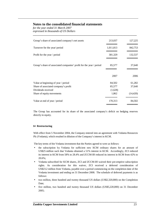*for the year ended 31 March 2007 expressed in thousands of US Dollars* 

| 842,753   |
|-----------|
| 132,537   |
| 37,640    |
| 2006      |
| 61,282    |
| 37,640    |
|           |
| (14, 420) |
| 84,502    |
|           |

**\_\_\_\_\_\_\_\_\_\_\_\_\_\_\_\_\_\_\_\_\_\_\_\_\_\_\_\_\_\_\_\_\_\_\_\_\_\_\_\_\_\_\_\_\_\_\_\_\_\_\_\_\_\_\_\_\_\_\_\_\_\_\_\_\_\_\_\_\_\_\_\_\_\_** 

The Group has accounted for its share of the associated company's deficit on hedging reserves directly in equity.

#### **14 Restructuring**

With effect from 5 November 2004, the Company entered into an agreement with Vedanta Resources Plc (Vedanta), which resulted in dilution of the Company's interest in KCM.

The key terms of the Vedanta investment that the Parties agreed to were as follows:

- the subscription by Vedanta for sufficient new KCM ordinary shares for an amount of US\$25 million such that Vedanta obtained a 51% interest in KCM. Accordingly, ZCI reduced its interest in KCM from 58% to 28.4% and ZCCM-IH reduced its interest in KCM from 42% to 20.6%;
- Vedanta subscribed for KCM shares, ZCI and ZCCM-IH waived their pre-emptive subscription rights. As consideration for this waiver, ZCI received a deferred consideration of US\$23.2 million from Vedanta, payable over a period commencing on the completion date of the Vedanta investment and ending on 31 December 2008. The schedule of deferred payments is as follows:
- two million, three hundred and twenty thousand US dollars (US\$2,320,000) on the Completion Date;
- five million, two hundred and twenty thousand US dollars (US\$5,220,000) on 31 December 2005;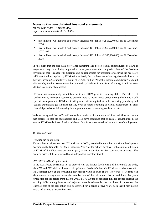*for the year ended 31 March 2007 expressed in thousands of US Dollars* 

five million, two hundred and twenty thousand US dollars (US\$5,220,000) on 31 December 2006;

**\_\_\_\_\_\_\_\_\_\_\_\_\_\_\_\_\_\_\_\_\_\_\_\_\_\_\_\_\_\_\_\_\_\_\_\_\_\_\_\_\_\_\_\_\_\_\_\_\_\_\_\_\_\_\_\_\_\_\_\_\_\_\_\_\_\_\_\_\_\_\_\_\_\_** 

- five million, two hundred and twenty thousand US dollars (US\$5,220,000) on 31 December 2007; and
- five million, two hundred and twenty thousand US dollars (US\$5,220,000) on 31 December 2008;

In the event that the free cash flow (after sustaining and project capital expenditures) of KCM is negative at any time during a period of nine years after the completion date of the Vedanta investment, then Vedanta will guarantee and be responsible for providing or securing the necessary additional funding required by KCM to immediately fund to the extent of the negative cash flow up to but not exceeding a cumulative amount of US\$220 million ("standby funding commitment"). Should this standby funding commitment be provided by Vedanta in the form of equity, it will be nondilutive to existing shareholders.

Vedanta has contractually undertaken not to exit KCM prior to 1 January 2008. Thereafter if it wishes to exit, Vedanta is required to provide a twelve month notice period during which time it will provide management to KCM and it will pay an exit fee equivalent to the following years budgeted capital expenditure (as adjusted for any over or under spending of capital expenditure in prior financial periods), with its standby funding commitment terminating on the exit date.

Vedanta has agreed that KCM will set aside a portion of its future annual free cash flow to create a cash reserve so that the shareholders and GRZ have assurance that as cash is accumulated in the reserve, KCM has dedicated funds available to fund its environmental and terminal benefit obligations.

#### **15 Contingencies**

#### *Vedanta call option deed*

Vedanta has a call option over ZCI's shares in KCM, exercisable on either a positive development decision on the Konkola Ore Body Extension Project or the achievement by Konkola mine, a division of KCM, of 3 million tone per annum (tpa) of ore production for four consecutive quarters. The exercise price will be determined by an independent investment bank.

#### *ZCI / ZCCM-IH call option deed*

If the KCM board determines not to proceed with the further development of the Konkola ore body, then ZCI and ZCCM-IH will have a call option over Vedanta's shares in KCM, exercisable on or after 31 December 2009 at the prevailing fair market value of such shares. However, if Vedanta can demonstrate, at any time before the exercise date of the call option, that an additional five years production for the period from 2013 to 2017, at 175 000 tpa of produced finished copper utilising the existing KCM mining licences and adjacent areas is achievable, then in those circumstances the exercise date of the call option will be deferred for a period of five years, such that it may not be exercised prior to 31 December 2014.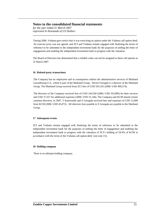*for the year ended 31 March 2007 expressed in thousands of US Dollars* 

During 2006, Vedanta gave notice that it was exercising its option under the Vedanta call option deed. An exercise price was not agreed, and ZCI and Vedanta remain engaged with finalising the terms of reference to be submitted to the independent investment bank for the purposes of settling the letter of engagement and enabling the independent investment bank to progress with the valuation.

**\_\_\_\_\_\_\_\_\_\_\_\_\_\_\_\_\_\_\_\_\_\_\_\_\_\_\_\_\_\_\_\_\_\_\_\_\_\_\_\_\_\_\_\_\_\_\_\_\_\_\_\_\_\_\_\_\_\_\_\_\_\_\_\_\_\_\_\_\_\_\_\_\_\_** 

The Board of Directors has determined that a reliable value can not be assigned to these call options at 31 March 2007.

#### **16 Related party transactions**

The Company has no employees and in consequence utilises the administrative services of Maitland Luxembourg S.A., which is part of the Maitland Group. Steven Georgala is a director of the Maitland Group. The Maitland Group received from ZCI fees of USD 593,165 (2006: USD 499,274).

The directors of the Company received fees of USD 144,549 (2006: USD 163,890) for their services and USD 37,557 for additional expenses (2006: USD 31,146). The Company and KCM shared certain common directors; in 2007, T Kamwendo and S Georgala received fees and expenses of USD 12,000 from KCM (2006: USD 45,072). All directors fees payable to S Georgala are payable to the Maitland Group.

#### **17 Subsequent events**

ZCI and Vedanta remain engaged with finalising the terms of reference to be submitted to the independent investment bank for the purposes of settling the letter of engagement and enabling the independent investment bank to progress with the valuation of ZCI's holding of 28.4% of KCM in accordance with the terms of the Vedanta call option deed (see note 15).

**\_\_\_\_\_\_\_\_\_\_\_\_\_\_\_\_\_\_\_\_\_\_\_\_\_\_\_\_\_\_\_\_\_\_\_\_\_\_\_\_\_\_\_\_\_\_\_\_\_\_\_\_\_\_\_\_\_\_\_\_\_\_\_\_\_\_\_\_\_\_\_\_\_\_** 

#### **18 Holding company**

There is no ultimate holding company.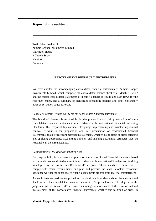### **Report of the auditor**

To the Shareholders of Zambia Copper Investments Limited Clarendon House 2 Church Street Hamilton Bermuda

#### **REPORT OF THE REVISEUR D'ENTREPRISES**

**\_\_\_\_\_\_\_\_\_\_\_\_\_\_\_\_\_\_\_\_\_\_\_\_\_\_\_\_\_\_\_\_\_\_\_\_\_\_\_\_\_\_\_\_\_\_\_\_\_\_\_\_\_\_\_\_\_\_\_\_\_\_\_\_\_\_\_\_\_\_\_\_\_\_** 

We have audited the accompanying consolidated financial statements of Zambia Copper Investments Limited, which comprise the consolidated balance sheet as at March 31, 2007 and the related consolidated statements of income, changes in equity and cash flows for the year then ended, and a summary of significant accounting policies and other explanatory notes as set out on pages 12 to 25.

#### *Board of directors' responsibility for the consolidated financial statements*

The board of directors is responsible for the preparation and fair presentation of these consolidated financial statements in accordance with International Financial Reporting Standards. This responsibility includes: designing, implementing and maintaining internal controls relevant to the preparation and fair presentation of consolidated financial statemments that are free from material misstatement, whether due to fraud or error; selecting and applying appropriate accounting policies; and making accounting estimates that are reasonable in the circumstances.

#### *Responsibility of the Réviseur d'Entreprises*

Our responsibility is to express an opinion on these consolidated financial statements based on our audit. We conducted our audit in accordance with International Standards on Auditing as adopted by the Institut des Réviseurs d'Entreprises. Those standards require that we comply with ethical requirements and plan and perform the audit to obtain reasonable assurance whether the consolidated financial statements are free from material misstatement.

An audit involves performing procedures to obtain audit evidence about the amounts and disclosures in the consolidated financial statements. The procedures selected depend on the judgement of the Réviseur d'Entreprises, including the assessment of the risks of material misstatement of the consolidated financial statements, whether due to fraud or error. In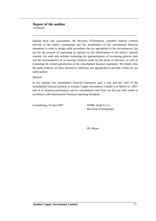## **Report of the auditor**

*Continued* 

making those risk assessments, the Réviseur d'Entreprises considers internal controls relevant to the entity's preparation and fair presentation of the consolidated financial statements in order to design audit procedures that are appropriate in the circumstances, but not for the purpose of expressing an opinion on the effectiveness of the entity's internal controls. An audit also includes evaluating the appropriateness of accounting policies used and the reasonableness of accounting estimates made by the board of directors, as well as evaluating the overall presentation of the consolidated financial statements. We believe that the audit evidence we have obtained is sufficient and appropriate to provide a basis for our audit opinion.

**\_\_\_\_\_\_\_\_\_\_\_\_\_\_\_\_\_\_\_\_\_\_\_\_\_\_\_\_\_\_\_\_\_\_\_\_\_\_\_\_\_\_\_\_\_\_\_\_\_\_\_\_\_\_\_\_\_\_\_\_\_\_\_\_\_\_\_\_\_\_\_\_\_\_** 

#### *Opinion*

In our opinion, the consolidated financial statements give a true and fair view of the consolidated financial position of Zambia Copper Investments Limited as at March 31, 2007, and of its financial performance and its consolidated cash flows for the year then ended in accordance with International Financial reporting Standards.

Luxembourg, 29 June 2007 KPMG Audit S.à r.l.

Réviseurs d'Entreprises

Ph. Meyer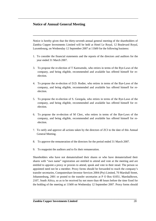## **Notice of Annual General Meeting**

Notice is hereby given that the thirty-seventh annual general meeting of the shareholders of Zambia Copper Investments Limited will be held at Hotel Le Royal, 12 Boulevard Royal, Luxembourg, on Wednesday 12 September 2007 at 11h00 for the following business:

**\_\_\_\_\_\_\_\_\_\_\_\_\_\_\_\_\_\_\_\_\_\_\_\_\_\_\_\_\_\_\_\_\_\_\_\_\_\_\_\_\_\_\_\_\_\_\_\_\_\_\_\_\_\_\_\_\_\_\_\_\_\_\_\_\_\_\_\_\_\_\_\_\_\_** 

- 1. To consider the financial statements and the reports of the directors and auditors for the year ended 31 March 2007.
- 3. To propose the re-election of T Kamwendo, who retires in terms of the Bye-Laws of the company, and being eligible, recommended and available has offered himself for reelection.
- 4. To propose the re-election of D.D. Rodier, who retires in terms of the Bye-Laws of the company, and being eligible, recommended and available has offered himself for reelection.
- 5. To propose the re-election of S. Georgala, who retires in terms of the Bye-Laws of the company, and being eligible, recommended and available has offered himself for reelection.
- 6. To propose the re-election of M Clerc, who retires in terms of the Bye-Laws of the company, and being eligible, recommended and available has offered himself for reelection.
- 7. To ratify and approve all actions taken by the directors of ZCI to the date of this Annual General Meeting.
- 8. To approve the remuneration of the directors for the period ended 31 March 2007.
- 9. To reappoint the auditors and to fix their remuneration.

Shareholders who have not dematerialised their shares or who have dematerialised their shares with "own name" registration are entitled to attend and vote at the meeting and are entitled to appoint a proxy or proxies to attend, speak and vote in their stead. The person so appointed need not be a member. Proxy forms should be forwarded to reach the company's transfer secretaries, Computershare Investor Services 2004 (Pty) Limited, 70 Marshall Street, Johannesburg, 2001 or posted to the transfer secretaries at P O Box 61051, Marshalltown, 2107, South Africa, so as to be received by not more than 48 hours before the time fixed for the holding of the meeting at 11h00 on Wednesday 12 September 2007. Proxy forms should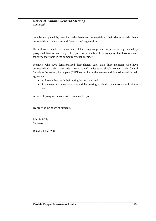only be completed by members who have not dematerialised their shares or who have dematerialised their shares with "own name" registration.

**\_\_\_\_\_\_\_\_\_\_\_\_\_\_\_\_\_\_\_\_\_\_\_\_\_\_\_\_\_\_\_\_\_\_\_\_\_\_\_\_\_\_\_\_\_\_\_\_\_\_\_\_\_\_\_\_\_\_\_\_\_\_\_\_\_\_\_\_\_\_\_\_\_\_** 

On a show of hands, every member of the company present in person or represented by proxy shall have on vote only. On a poll, every member of the company shall have one vote for every share held in the company by such member.

Members who have dematerialised their shares, other than those members who have dematerialised their shares with "own name" registration should contact their Central Securities Depository Participant (CSDP) or broker in the manner and time stipulated in their agreement:

- to furnish them with their voting instructions; and
- in the event that they wish to attend the meeting, to obtain the necessary authority to do so.

A form of proxy is enclosed with this annual report.

By order of the board of directors

John B. Mills **Secretary** 

Dated: 29 June 2007